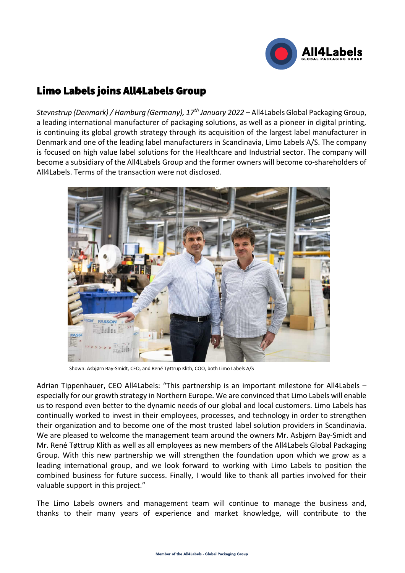

## Limo Labels joins All4Labels Group

*Stevnstrup (Denmark) / Hamburg (Germany), 17th January 2022* – All4Labels Global Packaging Group, a leading international manufacturer of packaging solutions, as well as a pioneer in digital printing, is continuing its global growth strategy through its acquisition of the largest label manufacturer in Denmark and one of the leading label manufacturers in Scandinavia, Limo Labels A/S. The company is focused on high value label solutions for the Healthcare and Industrial sector. The company will become a subsidiary of the All4Labels Group and the former owners will become co-shareholders of All4Labels. Terms of the transaction were not disclosed.



Shown: Asbjørn Bay-Smidt, CEO, and René Tøttrup Klith, COO, both Limo Labels A/S

Adrian Tippenhauer, CEO All4Labels: "This partnership is an important milestone for All4Labels – especially for our growth strategy in Northern Europe. We are convinced that Limo Labels will enable us to respond even better to the dynamic needs of our global and local customers. Limo Labels has continually worked to invest in their employees, processes, and technology in order to strengthen their organization and to become one of the most trusted label solution providers in Scandinavia. We are pleased to welcome the management team around the owners Mr. Asbjørn Bay-Smidt and Mr. René Tøttrup Klith as well as all employees as new members of the All4Labels Global Packaging Group. With this new partnership we will strengthen the foundation upon which we grow as a leading international group, and we look forward to working with Limo Labels to position the combined business for future success. Finally, I would like to thank all parties involved for their valuable support in this project."

The Limo Labels owners and management team will continue to manage the business and, thanks to their many years of experience and market knowledge, will contribute to the